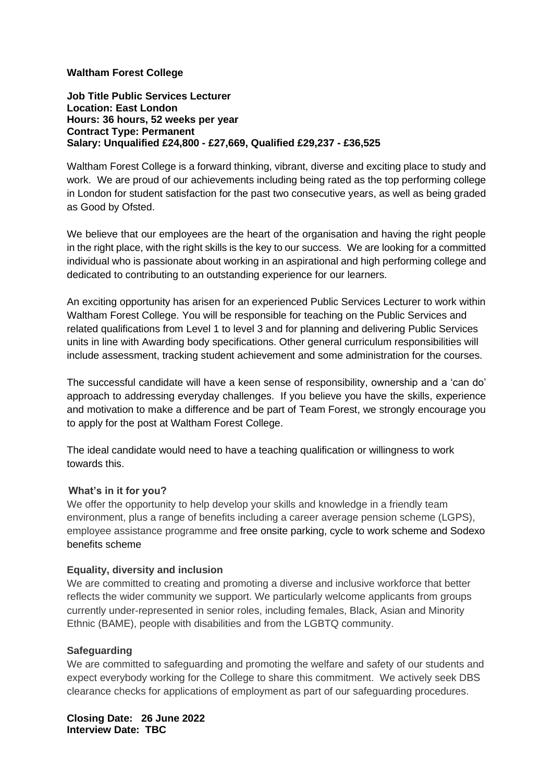## **Waltham Forest College**

**Job Title Public Services Lecturer Location: East London Hours: 36 hours, 52 weeks per year Contract Type: Permanent Salary: Unqualified £24,800 - £27,669, Qualified £29,237 - £36,525** 

Waltham Forest College is a forward thinking, vibrant, diverse and exciting place to study and work. We are proud of our achievements including being rated as the top performing college in London for student satisfaction for the past two consecutive years, as well as being graded as Good by Ofsted.

We believe that our employees are the heart of the organisation and having the right people in the right place, with the right skills is the key to our success. We are looking for a committed individual who is passionate about working in an aspirational and high performing college and dedicated to contributing to an outstanding experience for our learners.

An exciting opportunity has arisen for an experienced Public Services Lecturer to work within Waltham Forest College. You will be responsible for teaching on the Public Services and related qualifications from Level 1 to level 3 and for planning and delivering Public Services units in line with Awarding body specifications. Other general curriculum responsibilities will include assessment, tracking student achievement and some administration for the courses.

The successful candidate will have a keen sense of responsibility, ownership and a 'can do' approach to addressing everyday challenges. If you believe you have the skills, experience and motivation to make a difference and be part of Team Forest, we strongly encourage you to apply for the post at Waltham Forest College.

The ideal candidate would need to have a teaching qualification or willingness to work towards this.

## **What's in it for you?**

We offer the opportunity to help develop your skills and knowledge in a friendly team environment, plus a range of benefits including a career average pension scheme (LGPS), employee assistance programme and free onsite parking, cycle to work scheme and Sodexo benefits scheme

#### **Equality, diversity and inclusion**

We are committed to creating and promoting a diverse and inclusive workforce that better reflects the wider community we support. We particularly welcome applicants from groups currently under-represented in senior roles, including females, Black, Asian and Minority Ethnic (BAME), people with disabilities and from the LGBTQ community.

#### **Safeguarding**

We are committed to safeguarding and promoting the welfare and safety of our students and expect everybody working for the College to share this commitment. We actively seek DBS clearance checks for applications of employment as part of our safeguarding procedures.

**Closing Date: 26 June 2022 Interview Date: TBC**